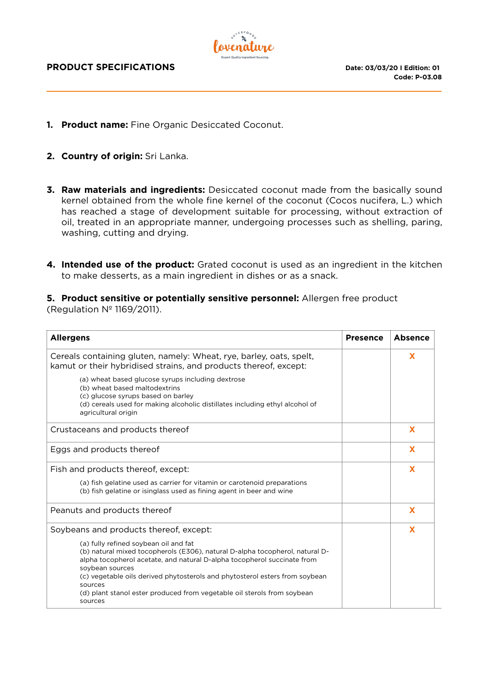

- **1. Product name:** Fine Organic Desiccated Coconut.
- **2. Country of origin:** Sri Lanka.
- **3. Raw materials and ingredients:** Desiccated coconut made from the basically sound kernel obtained from the whole fine kernel of the coconut (Cocos nucifera, L.) which has reached a stage of development suitable for processing, without extraction of oil, treated in an appropriate manner, undergoing processes such as shelling, paring, washing, cutting and drying.
- **4. Intended use of the product:** Grated coconut is used as an ingredient in the kitchen to make desserts, as a main ingredient in dishes or as a snack.

#### **5. Product sensitive or potentially sensitive personnel:** Allergen free product (Regulation Nº 1169/2011).

| <b>Allergens</b>                                                                                                                                                                                                                                                                                                                                                                                    | <b>Presence</b> | <b>Absence</b> |
|-----------------------------------------------------------------------------------------------------------------------------------------------------------------------------------------------------------------------------------------------------------------------------------------------------------------------------------------------------------------------------------------------------|-----------------|----------------|
| Cereals containing gluten, namely: Wheat, rye, barley, oats, spelt,<br>kamut or their hybridised strains, and products thereof, except:                                                                                                                                                                                                                                                             |                 | X              |
| (a) wheat based glucose syrups including dextrose<br>(b) wheat based maltodextrins<br>(c) glucose syrups based on barley<br>(d) cereals used for making alcoholic distillates including ethyl alcohol of<br>agricultural origin                                                                                                                                                                     |                 |                |
| Crustaceans and products thereof                                                                                                                                                                                                                                                                                                                                                                    |                 | $\mathbf x$    |
| Eggs and products thereof                                                                                                                                                                                                                                                                                                                                                                           |                 | X              |
| Fish and products thereof, except:                                                                                                                                                                                                                                                                                                                                                                  |                 | X              |
| (a) fish gelatine used as carrier for vitamin or carotenoid preparations<br>(b) fish gelatine or isinglass used as fining agent in beer and wine                                                                                                                                                                                                                                                    |                 |                |
| Peanuts and products thereof                                                                                                                                                                                                                                                                                                                                                                        |                 | X              |
| Soybeans and products thereof, except:                                                                                                                                                                                                                                                                                                                                                              |                 | X              |
| (a) fully refined soybean oil and fat<br>(b) natural mixed tocopherols (E306), natural D-alpha tocopherol, natural D-<br>alpha tocopherol acetate, and natural D-alpha tocopherol succinate from<br>sovbean sources<br>(c) vegetable oils derived phytosterols and phytosterol esters from soybean<br>sources<br>(d) plant stanol ester produced from vegetable oil sterols from soybean<br>sources |                 |                |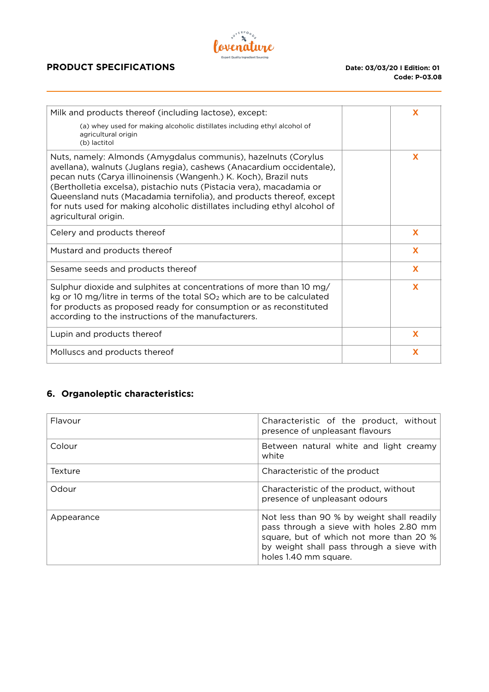

## **PRODUCT SPECIFICATIONS** Date: 03/03/20 I Edition: 01

| Milk and products thereof (including lactose), except:                                                                                                                                                                                                                                                                                                                                                                                                           | X |
|------------------------------------------------------------------------------------------------------------------------------------------------------------------------------------------------------------------------------------------------------------------------------------------------------------------------------------------------------------------------------------------------------------------------------------------------------------------|---|
| (a) whey used for making alcoholic distillates including ethyl alcohol of<br>agricultural origin<br>(b) lactitol                                                                                                                                                                                                                                                                                                                                                 |   |
| Nuts, namely: Almonds (Amygdalus communis), hazelnuts (Corylus<br>avellana), walnuts (Juglans regia), cashews (Anacardium occidentale),<br>pecan nuts (Carya illinoinensis (Wangenh.) K. Koch), Brazil nuts<br>(Bertholletia excelsa), pistachio nuts (Pistacia vera), macadamia or<br>Queensland nuts (Macadamia ternifolia), and products thereof, except<br>for nuts used for making alcoholic distillates including ethyl alcohol of<br>agricultural origin. | X |
| Celery and products thereof                                                                                                                                                                                                                                                                                                                                                                                                                                      | X |
| Mustard and products thereof                                                                                                                                                                                                                                                                                                                                                                                                                                     | X |
| Sesame seeds and products thereof                                                                                                                                                                                                                                                                                                                                                                                                                                | X |
| Sulphur dioxide and sulphites at concentrations of more than 10 mg/<br>kg or 10 mg/litre in terms of the total SO <sub>2</sub> which are to be calculated<br>for products as proposed ready for consumption or as reconstituted<br>according to the instructions of the manufacturers.                                                                                                                                                                           | X |
| Lupin and products thereof                                                                                                                                                                                                                                                                                                                                                                                                                                       | X |
| Molluscs and products thereof                                                                                                                                                                                                                                                                                                                                                                                                                                    | x |
|                                                                                                                                                                                                                                                                                                                                                                                                                                                                  |   |

# **6. Organoleptic characteristics:**

| Flavour    | Characteristic of the product, without<br>presence of unpleasant flavours                                                                                                                              |  |
|------------|--------------------------------------------------------------------------------------------------------------------------------------------------------------------------------------------------------|--|
| Colour     | Between natural white and light creamy<br>white                                                                                                                                                        |  |
| Texture    | Characteristic of the product                                                                                                                                                                          |  |
| Odour      | Characteristic of the product, without<br>presence of unpleasant odours                                                                                                                                |  |
| Appearance | Not less than 90 % by weight shall readily<br>pass through a sieve with holes 2.80 mm<br>square, but of which not more than 20 %<br>by weight shall pass through a sieve with<br>holes 1.40 mm square. |  |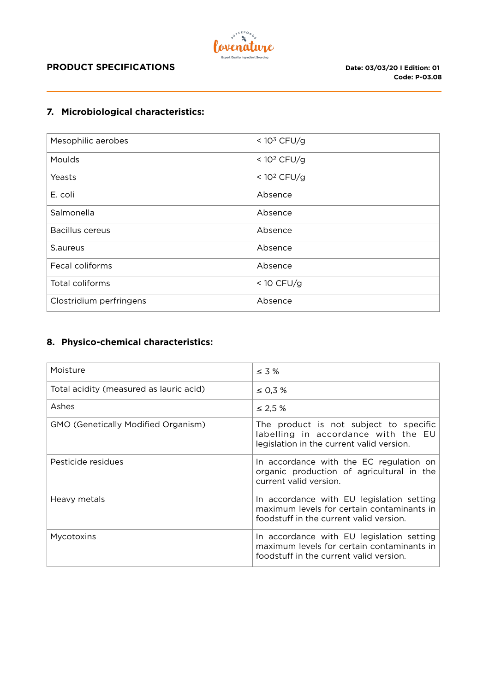

### **PRODUCT SPECIFICATIONS** Date: 03/03/20 I Edition: 01

### **7. Microbiological characteristics:**

| Mesophilic aerobes      | < $103$ CFU/g  |
|-------------------------|----------------|
| Moulds                  | < $10^2$ CFU/g |
| Yeasts                  | < $10^2$ CFU/g |
| E. coli                 | Absence        |
| Salmonella              | Absence        |
| <b>Bacillus cereus</b>  | Absence        |
| S.aureus                | Absence        |
| Fecal coliforms         | Absence        |
| Total coliforms         | < $10$ CFU/g   |
| Clostridium perfringens | Absence        |

# **8. Physico-chemical characteristics:**

| Moisture                                   | $\leq$ 3 %                                                                                                                         |
|--------------------------------------------|------------------------------------------------------------------------------------------------------------------------------------|
| Total acidity (measured as lauric acid)    | $\leq$ 0,3 %                                                                                                                       |
| Ashes                                      | ≤ 2,5 $%$                                                                                                                          |
| <b>GMO (Genetically Modified Organism)</b> | The product is not subject to specific<br>labelling in accordance with the EU<br>legislation in the current valid version.         |
| Pesticide residues                         | In accordance with the EC regulation on<br>organic production of agricultural in the<br>current valid version.                     |
| Heavy metals                               | In accordance with EU legislation setting<br>maximum levels for certain contaminants in<br>foodstuff in the current valid version. |
| Mycotoxins                                 | In accordance with EU legislation setting<br>maximum levels for certain contaminants in<br>foodstuff in the current valid version. |